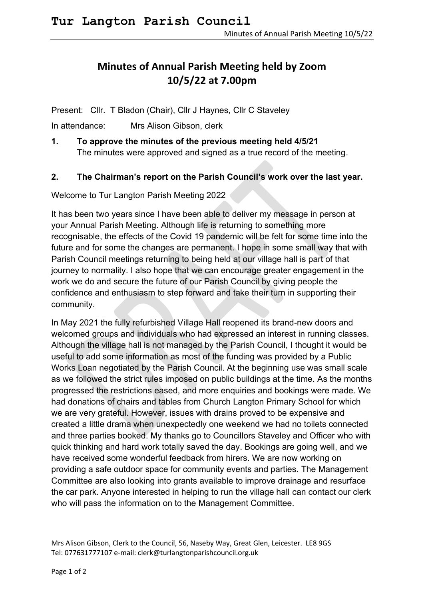## **Minutes of Annual Parish Meeting held by Zoom 10/5/22 at 7.00pm**

Present: Cllr. T Bladon (Chair), Cllr J Haynes, Cllr C Staveley

In attendance: Mrs Alison Gibson, clerk

**1. To approve the minutes of the previous meeting held 4/5/21** The minutes were approved and signed as a true record of the meeting.

## **2. The Chairman's report on the Parish Council's work over the last year.**

Welcome to Tur Langton Parish Meeting 2022

It has been two years since I have been able to deliver my message in person at your Annual Parish Meeting. Although life is returning to something more recognisable, the effects of the Covid 19 pandemic will be felt for some time into the future and for some the changes are permanent. I hope in some small way that with Parish Council meetings returning to being held at our village hall is part of that journey to normality. I also hope that we can encourage greater engagement in the work we do and secure the future of our Parish Council by giving people the confidence and enthusiasm to step forward and take their turn in supporting their community.

In May 2021 the fully refurbished Village Hall reopened its brand-new doors and welcomed groups and individuals who had expressed an interest in running classes. Although the village hall is not managed by the Parish Council, I thought it would be useful to add some information as most of the funding was provided by a Public Works Loan negotiated by the Parish Council. At the beginning use was small scale as we followed the strict rules imposed on public buildings at the time. As the months progressed the restrictions eased, and more enquiries and bookings were made. We had donations of chairs and tables from Church Langton Primary School for which we are very grateful. However, issues with drains proved to be expensive and created a little drama when unexpectedly one weekend we had no toilets connected and three parties booked. My thanks go to Councillors Staveley and Officer who with quick thinking and hard work totally saved the day. Bookings are going well, and we have received some wonderful feedback from hirers. We are now working on providing a safe outdoor space for community events and parties. The Management Committee are also looking into grants available to improve drainage and resurface the car park. Anyone interested in helping to run the village hall can contact our clerk who will pass the information on to the Management Committee.

Mrs Alison Gibson, Clerk to the Council, 56, Naseby Way, Great Glen, Leicester. LE8 9GS Tel: 077631777107 e-mail: clerk@turlangtonparishcouncil.org.uk